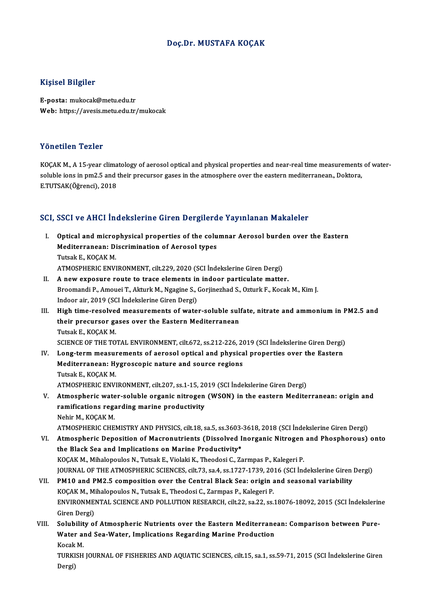## Doç.Dr. MUSTAFA KOÇAK

## Kişisel Bilgiler

E-posta: mukocak@metu.edu.tr Web: https://avesis.metu.edu.tr/mukocak

## Yönetilen Tezler

KOÇAK M., A 15-year climatology of aerosol optical and physical properties and near-real time measurements of watersoluble ions in pm2.5 and their precursor gases in the atmosphere over the eastern mediterranean., Doktora, E.TUTSAK(Öğrenci),2018

# e.1015AK(Ogrenci), 2018<br>SCI, SSCI ve AHCI İndekslerine Giren Dergilerde Yayınlanan Makaleler

- CI, SSCI ve AHCI İndekslerine Giren Dergilerde Yayınlanan Makaleler<br>I. Optical and microphysical properties of the columnar Aerosol burden over the Eastern<br>Mediterranean: Discrimination of Aerosol types OBSET VOTTING THROKOFFING AN ON BOLGAGE<br>Optical and microphysical properties of the colu<br>Mediterranean: Discrimination of Aerosol types<br>Tutak E, KOCAK M **Optical and micro<br>Mediterranean: Di<br>Tutsak E., KOÇAK M.<br>ATMOSDUEDIC ENVI** Tutsak E., KOÇAK M.<br>ATMOSPHERIC ENVIRONMENT, cilt.229, 2020 (SCI İndekslerine Giren Dergi) Tutsak E., KOÇAK M.<br>ATMOSPHERIC ENVIRONMENT, cilt.229, 2020 (SCI İndekslerine Giren Dergi)<br>II. A new exposure route to trace elements in indoor particulate matter.<br>Presmandi B. Ameusi T. Alturk M. Ngasine S. Corijnarhed S.
- Broomandi P., Amouei T., Akturk M., Ngagine S., Gorjinezhad S., Ozturk F., Kocak M., Kim J.<br>Indoor air, 2019 (SCI İndekslerine Giren Dergi) A new exposure route to trace elements in<br>Broomandi P., Amouei T., Akturk M., Ngagine S., (<br>Indoor air, 2019 (SCI İndekslerine Giren Dergi)<br>High time resolued moasurements of wate Broomandi P., Amouei T., Akturk M., Ngagine S., Gorjinezhad S., Ozturk F., Kocak M., Kim J.<br>Indoor air, 2019 (SCI Indekslerine Giren Dergi)<br>III. High time-resolved measurements of water-soluble sulfate, nitrate and ammoniu
- Indoor air, 2019 (SCI İndekslerine Giren Dergi)<br>High time-resolved measurements of water-soluble sul:<br>their precursor gases over the Eastern Mediterranean<br>Tutek E. KOCAK M **High time-resolve**<br>their precursor ga<br>Tutsak E., KOÇAK M.<br>SCIENCE OF TUE TO their precursor gases over the Eastern Mediterranean<br>Tutsak E., KOÇAK M.<br>SCIENCE OF THE TOTAL ENVIRONMENT, cilt.672, ss.212-226, 2019 (SCI İndekslerine Giren Dergi) Tutsak E., KOÇAK M.<br>SCIENCE OF THE TOTAL ENVIRONMENT, cilt.672, ss.212-226, 2019 (SCI İndekslerine Giren Dergi)<br>IV. Long-term measurements of aerosol optical and physical properties over the Eastern<br>Mediterranean: Hygrossa

- SCIENCE OF THE TOTAL ENVIRONMENT, cilt.672, ss.212-226, 20<br>Long-term measurements of aerosol optical and physica<br>Mediterranean: Hygroscopic nature and source regions<br>Tuteek E. KOCAK M Long-term measu<br>Mediterranean: Hy<br>Tutsak E., KOÇAK M.<br>ATMOSDUEDIC ENVI Mediterranean: Hygroscopic nature and source regions<br>Tutsak E., KOÇAK M.<br>ATMOSPHERIC ENVIRONMENT, cilt.207, ss.1-15, 2019 (SCI İndekslerine Giren Dergi) Tutsak E., KOÇAK M.<br>ATMOSPHERIC ENVIRONMENT, cilt.207, ss.1-15, 2019 (SCI İndekslerine Giren Dergi)<br>V. Atmospheric water-soluble organic nitrogen (WSON) in the eastern Mediterranean: origin and<br>remifications resending
- ATMOSPHERIC ENVIRONMENT, cilt.207, ss.1-15, 20<br>Atmospheric water-soluble organic nitrogen<br>ramifications regarding marine productivity<br>Nebir M. KOCAK M Atmospheric wate<br>ramifications rega<br>Nehir M., KOÇAK M.<br>ATMOSPHEPIC CHE ramifications regarding marine productivity<br>Nehir M., KOÇAK M.<br>ATMOSPHERIC CHEMISTRY AND PHYSICS, cilt.18, sa.5, ss.3603-3618, 2018 (SCI İndekslerine Giren Dergi)

VI. Atmospheric Deposition of Macronutrients (Dissolved Inorganic Nitrogen and Phosphorous) onto the Black Sea and Implications on Marine Productivity\* KOÇAK M., Mihalopoulos N., Tutsak E., Violaki K., Theodosi C., Zarmpas P., Kalegeri P. the Black Sea and Implications on Marine Productivity\*<br>KOÇAK M., Mihalopoulos N., Tutsak E., Violaki K., Theodosi C., Zarmpas P., Kalegeri P.<br>JOURNAL OF THE ATMOSPHERIC SCIENCES, cilt.73, sa.4, ss.1727-1739, 2016 (SCI İnde KOÇAK M., Mihalopoulos N., Tutsak E., Violaki K., Theodosi C., Zarmpas P., Kalegeri P.<br>JOURNAL OF THE ATMOSPHERIC SCIENCES, cilt.73, sa.4, ss.1727-1739, 2016 (SCI Indekslerine Giren<br>VII. PM10 and PM2.5 composition over the

# JOURNAL OF THE ATMOSPHERIC SCIENCES, cilt.73, sa.4, ss.1727-1739, 20<br>PM10 and PM2.5 composition over the Central Black Sea: origin a<br>KOÇAK M., Mihalopoulos N., Tutsak E., Theodosi C., Zarmpas P., Kalegeri P.<br>ENVIRONMENTAL VII. PM10 and PM2.5 composition over the Central Black Sea: origin and seasonal variability<br>KOÇAK M., Mihalopoulos N., Tutsak E., Theodosi C., Zarmpas P., Kalegeri P.<br>ENVIRONMENTAL SCIENCE AND POLLUTION RESEARCH, cilt.22, KOCAK M., Mihalopoulos N., Tutsak E., Theodosi C., Zarmpas P., Kalegeri P. ENVIRONMENTAL SCIENCE AND POLLUTION RESEARCH, cilt.22, sa.22, ss.18076-18092, 2015 (SCI İndekslerin<br>Giren Dergi)<br>VIII. Solubility of Atmospheric Nutrients over the Eastern Mediterranean: Comparison between Pure-<br>Water and

Giren Dergi)<br>Solubility of Atmospheric Nutrients over the Eastern Mediterrane<br>Water and Sea-Water, Implications Regarding Marine Production<br>Kosak M Solubili<mark>t</mark><br>Water al<br>Kocak M.<br>TUPKISH Water and Sea-Water, Implications Regarding Marine Production<br>Kocak M.<br>TURKISH JOURNAL OF FISHERIES AND AQUATIC SCIENCES, cilt.15, sa.1, ss.59-71, 2015 (SCI İndekslerine Giren<br>Persi)

Kocak<br>TURKI<br>Dergi)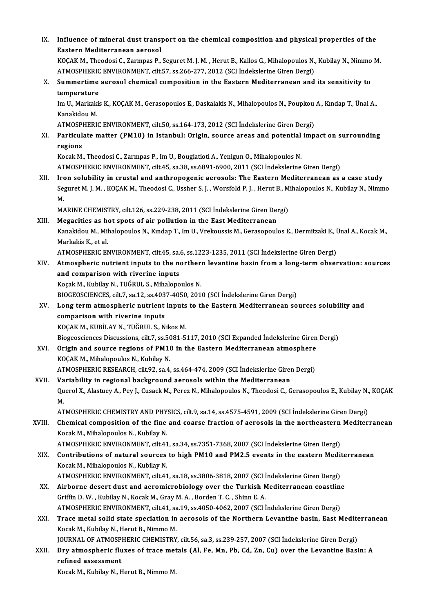IX. Influence of mineral dust transport on the chemical composition and physical properties of the<br>Eastern Mediterranean ceresel Influence of mineral dust trans<br>Eastern Mediterranean aerosol<br><sup>VOCAV M.</sup> Theodesi C. Zermnes P Influence of mineral dust transport on the chemical composition and physical properties of the<br>Eastern Mediterranean aerosol<br>KOÇAK M., Theodosi C., Zarmpas P., Seguret M. J. M. , Herut B., Kallos G., Mihalopoulos N., Kubil Eastern Mediterranean aerosol<br>KOÇAK M., Theodosi C., Zarmpas P., Seguret M. J. M. , Herut B., Kallos G., Mihalopoulos N.,<br>ATMOSPHERIC ENVIRONMENT, cilt.57, ss.266-277, 2012 (SCI İndekslerine Giren Dergi)<br>Summertime aerosol X. Summertime aerosol chemical composition in the Eastern Mediterranean and its sensitivity to temperature ATMOSPHERIC ENVIRONMENT, cilt.57, ss.266-277, 2012 (SCI Indekslerine Giren Dergi) Summertime aerosol chemical composition in the Eastern Mediterranean and its sensitivity to<br>temperature<br>Im U., Markakis K., KOÇAK M., Gerasopoulos E., Daskalakis N., Mihalopoulos N., Poupkou A., Kındap T., Ünal A.,<br>Kanakid **temperature<br>Im U., Markaki<br>Kanakidou M.**<br>ATMOSPHEPL Im U., Markakis K., KOÇAK M., Gerasopoulos E., Daskalakis N., Mihalopoulos N., Poupkou<br>Kanakidou M.<br>ATMOSPHERIC ENVIRONMENT, cilt.50, ss.164-173, 2012 (SCI İndekslerine Giren Dergi)<br>Partiqulata mattar (PM10) in Istanbul: O Kanakidou M.<br>ATMOSPHERIC ENVIRONMENT, cilt.50, ss.164-173, 2012 (SCI İndekslerine Giren Dergi)<br>XI. Particulate matter (PM10) in Istanbul: Origin, source areas and potential impact on surrounding<br>regions ATMOSP<br>Particul<br>regions<br>Kosak M Particulate matter (PM10) in Istanbul: Origin, source areas and potential<br>regions<br>Kocak M., Theodosi C., Zarmpas P., Im U., Bougiatioti A., Yenigun O., Mihalopoulos N.<br>ATMOSPUERIC ENVIRONMENT, silt 45, so 28, ss 6991, 6990 regions<br>Kocak M., Theodosi C., Zarmpas P., Im U., Bougiatioti A., Yenigun O., Mihalopoulos N.<br>ATMOSPHERIC ENVIRONMENT, cilt.45, sa.38, ss.6891-6900, 2011 (SCI İndekslerine Giren Dergi) Kocak M., Theodosi C., Zarmpas P., Im U., Bougiatioti A., Yenigun O., Mihalopoulos N.<br>ATMOSPHERIC ENVIRONMENT, cilt.45, sa.38, ss.6891-6900, 2011 (SCI İndekslerine Giren Dergi)<br>XII. Iron solubility in crustal and anthropog ATMOSPHERIC ENVIRONMENT, cilt.45, sa.38, ss.6891-6900, 2011 (SCI İndekslerine Giren Dergi)<br>Iron solubility in crustal and anthropogenic aerosols: The Eastern Mediterranean as a case study<br>Seguret M. J. M. , KOÇAK M., Theod Iro<br>Se<br>M. Seguret M. J. M. , KOÇAK M., Theodosi C., Ussher S. J. , Worsfold P. J. , Herut B., M<br>M.<br>MARINE CHEMISTRY, cilt.126, ss.229-238, 2011 (SCI İndekslerine Giren Dergi)<br>Magasitias as hat spots of air pollution in the East Medi M.<br>MARINE CHEMISTRY, cilt.126, ss.229-238, 2011 (SCI Indekslerine Giren Dergi)<br>XIII. Megacities as hot spots of air pollution in the East Mediterranean MARINE CHEMISTRY, cilt.126, ss.229-238, 2011 (SCI İndekslerine Giren Dergi)<br>Megacities as hot spots of air pollution in the East Mediterranean<br>Kanakidou M., Mihalopoulos N., Kındap T., Im U., Vrekoussis M., Gerasopoulos E. Megacities as he<br>Kanakidou M., Mil<br>Markakis K., et al.<br>ATMOSDUEDIC EN Kanakidou M., Mihalopoulos N., Kındap T., Im U., Vrekoussis M., Gerasopoulos E., Dermitzaki E., İ<br>Markakis K., et al.<br>ATMOSPHERIC ENVIRONMENT, cilt.45, sa.6, ss.1223-1235, 2011 (SCI İndekslerine Giren Dergi)<br>Atmospharic pu Markakis K., et al.<br>ATMOSPHERIC ENVIRONMENT, cilt.45, sa.6, ss.1223-1235, 2011 (SCI Indekslerine Giren Dergi)<br>XIV. Atmospheric nutrient inputs to the northern levantine basin from a long-term observation: sources<br>and compa ATMOSPHERIC ENVIRONMENT, cilt45, sa.6, ss.1223-1235, 2011 (SCI Indekslerine Giren Dergi) KoçakM.,KubilayN.,TUĞRUL S.,MihalopoulosN. and comparison with riverine inputs<br>Koçak M., Kubilay N., TUĞRUL S., Mihalopoulos N.<br>BIOGEOSCIENCES, cilt.7, sa.12, ss.4037-4050, 2010 (SCI İndekslerine Giren Dergi)<br>Long term atmospharis putriont inputs to the Eastern Med Koçak M., Kubilay N., TUĞRUL S., Mihalopoulos N.<br>BIOGEOSCIENCES, cilt.7, sa.12, ss.4037-4050, 2010 (SCI İndekslerine Giren Dergi)<br>XV. Long term atmospheric nutrient inputs to the Eastern Mediterranean sources solubilit BIOGEOSCIENCES, cilt.7, sa.12, ss.403<br>Long term atmospheric nutrient<br>comparison with riverine inputs<br>YOGAY M. VUPU AV N. TUČPULS, N Long term atmospheric nutrient inputs<br>comparison with riverine inputs<br>KOÇAK M., KUBİLAY N., TUĞRUL S., Nikos M.<br>Piegeoggionese Disquesions, silt 7, ss 5091 5: comparison with riverine inputs<br>KOÇAK M., KUBİLAY N., TUĞRUL S., Nikos M.<br>Biogeosciences Discussions, cilt.7, ss.5081-5117, 2010 (SCI Expanded İndekslerine Giren Dergi)<br>Origin and source regions of PM10 in the Festern Medi KOÇAK M., KUBİLAY N., TUĞRUL S., Nikos M.<br>Biogeosciences Discussions, cilt.7, ss.5081-5117, 2010 (SCI Expanded İndekslerine Giren<br>XVI. Origin and source regions of PM10 in the Eastern Mediterranean atmosphere<br>XOCAX M. Biogeosciences Discussions, cilt.7, ss.50<br>Origin and source regions of PM1<br>KOÇAK M., Mihalopoulos N., Kubilay N.<br>ATMOSPUERIC RESEARCH silt.92, ss.4. Origin and source regions of PM10 in the Eastern Mediterranean atmosphere<br>KOÇAK M., Mihalopoulos N., Kubilay N.<br>ATMOSPHERIC RESEARCH, cilt.92, sa.4, ss.464-474, 2009 (SCI İndekslerine Giren Dergi)<br>Veriability in nazional b KOÇAK M., Mihalopoulos N., Kubilay N.<br>ATMOSPHERIC RESEARCH, cilt.92, sa.4, ss.464-474, 2009 (SCI İndekslerine Girer<br>XVII. Variability in regional background aerosols within the Mediterranean<br>Quarel Y. Alesticy A. Bay L. Cu ATMOSPHERIC RESEARCH, cilt.92, sa.4, ss.464-474, 2009 (SCI İndekslerine Giren Dergi)<br>Variability in regional background aerosols within the Mediterranean<br>Querol X., Alastuey A., Pey J., Cusack M., Perez N., Mihalopoulos N. Va<br>Qu<br>M Querol X., Alastuey A., Pey J., Cusack M., Perez N., Mihalopoulos N., Theodosi C., Gerasopoulos E., Kubilay N.,<br>M.<br>ATMOSPHERIC CHEMISTRY AND PHYSICS, cilt.9, sa.14, ss.4575-4591, 2009 (SCI İndekslerine Giren Dergi)<br>Chemise M.<br>ATMOSPHERIC CHEMISTRY AND PHYSICS, cilt.9, sa.14, ss.4575-4591, 2009 (SCI İndekslerine Giren Dergi)<br>XVIII. Chemical composition of the fine and coarse fraction of aerosols in the northeastern Mediterranean<br>Kasak M. Miha ATMOSPHERIC CHEMISTRY AND PHYSICS, cilt.9, sa.14, ss.4575-4591, 2009 (SCI Indekslerine Giren Dergi)<br>Chemical composition of the fine and coarse fraction of aerosols in the northeastern Mediter<br>Kocak M., Mihalopoulos N., Ku Chemical composition of the fine and coarse fraction of aerosols in the northeastern<br>Kocak M., Mihalopoulos N., Kubilay N.<br>ATMOSPHERIC ENVIRONMENT, cilt.41, sa.34, ss.7351-7368, 2007 (SCI İndekslerine Giren Dergi)<br>Contribu XIX. Contributions of natural sources to high PM10 and PM2.5 events in the eastern Mediterranean Kocak M., Mihalopoulos N., Kubilay N. Contributions of natural sources to high PM10 and PM2.5 events in the eastern Medit<br>Kocak M., Mihalopoulos N., Kubilay N.<br>ATMOSPHERIC ENVIRONMENT, cilt.41, sa.18, ss.3806-3818, 2007 (SCI İndekslerine Giren Dergi)<br>Airberne Kocak M., Mihalopoulos N., Kubilay N.<br>ATMOSPHERIC ENVIRONMENT, cilt.41, sa.18, ss.3806-3818, 2007 (SCI İndekslerine Giren Dergi)<br>XX. Airborne desert dust and aeromicrobiology over the Turkish Mediterranean coastline<br>Criffi ATMOSPHERIC ENVIRONMENT, cilt.41, sa.18, ss.3806-3818, 2007 (SCI I<br>Airborne desert dust and aeromicrobiology over the Turkish N<br>Griffin D. W. , Kubilay N., Kocak M., Gray M. A. , Borden T. C. , Shinn E. A.<br>ATMOSPHERIC ENVI Airborne desert dust and aeromicrobiology over the Turkish Mediterranean coastline<br>Griffin D. W. , Kubilay N., Kocak M., Gray M. A. , Borden T. C. , Shinn E. A.<br>ATMOSPHERIC ENVIRONMENT, cilt.41, sa.19, ss.4050-4062, 2007 ( Griffin D. W. , Kubilay N., Kocak M., Gray M. A. , Borden T. C. , Shinn E. A.<br>ATMOSPHERIC ENVIRONMENT, cilt.41, sa.19, ss.4050-4062, 2007 (SCI İndekslerine Giren Dergi)<br>XXI. Trace metal solid state speciation in aeroso ATMOSPHERIC ENVIRONMENT, cilt.41, sa.19, ss.4050-4062, 2007 (SCI Indekslerine Giren Dergi)<br>Trace metal solid state speciation in aerosols of the Northern Levantine basin, East N<br>Kocak M., Kubilay N., Herut B., Nimmo M. Trace metal solid state speciation in aerosols of the Northern Levantine basin, East Medite<br>Kocak M., Kubilay N., Herut B., Nimmo M.<br>JOURNAL OF ATMOSPHERIC CHEMISTRY, cilt.56, sa.3, ss.239-257, 2007 (SCI İndekslerine Giren Kocak M., Kubilay N., Herut B., Nimmo M.<br>JOURNAL OF ATMOSPHERIC CHEMISTRY, cilt.56, sa.3, ss.239-257, 2007 (SCI İndekslerine Giren Dergi)<br>XXII. Dry atmospheric fluxes of trace metals (Al, Fe, Mn, Pb, Cd, Zn, Cu) over t **JOURNAL OF ATMOSP<br>Dry atmospheric flu<br>refined assessment**<br>Keepk M. Kubilov N. H Dry atmospheric fluxes of trace metals (Al, Fe, Mn, Pb, Cd, Zn, Cu) over the Levantine Basin: A refined assessment<br>Kocak M., Kubilay N., Herut B., Nimmo M.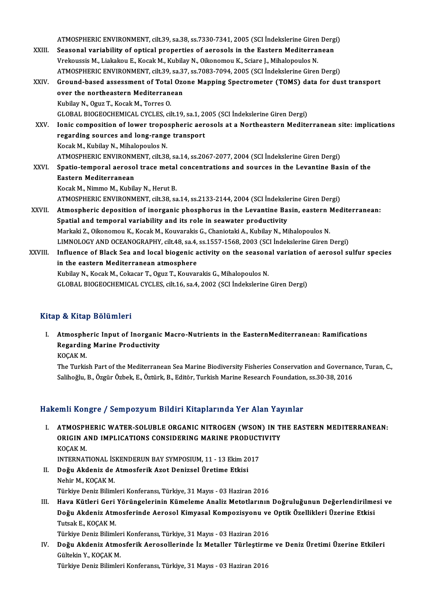|         | ATMOSPHERIC ENVIRONMENT, cilt.39, sa.38, ss.7330-7341, 2005 (SCI Indekslerine Giren Dergi)             |
|---------|--------------------------------------------------------------------------------------------------------|
| XXIII.  | Seasonal variability of optical properties of aerosols in the Eastern Mediterranean                    |
|         | Vrekoussis M., Liakakou E., Kocak M., Kubilay N., Oikonomou K., Sciare J., Mihalopoulos N.             |
|         | ATMOSPHERIC ENVIRONMENT, cilt.39, sa.37, ss.7083-7094, 2005 (SCI Indekslerine Giren Dergi)             |
| XXIV.   | Ground-based assessment of Total Ozone Mapping Spectrometer (TOMS) data for dust transport             |
|         | over the northeastern Mediterranean                                                                    |
|         | Kubilay N., Oguz T., Kocak M., Torres O.                                                               |
|         | GLOBAL BIOGEOCHEMICAL CYCLES, cilt.19, sa.1, 2005 (SCI Indekslerine Giren Dergi)                       |
| XXV     | Ionic composition of lower tropospheric aerosols at a Northeastern Mediterranean site: implications    |
|         | regarding sources and long-range transport                                                             |
|         | Kocak M., Kubilay N., Mihalopoulos N.                                                                  |
|         | ATMOSPHERIC ENVIRONMENT, cilt.38, sa.14, ss.2067-2077, 2004 (SCI Indekslerine Giren Dergi)             |
| XXVI.   | Spatio-temporal aerosol trace metal concentrations and sources in the Levantine Basin of the           |
|         | Eastern Mediterranean                                                                                  |
|         | Kocak M., Nimmo M., Kubilay N., Herut B.                                                               |
|         | ATMOSPHERIC ENVIRONMENT, cilt.38, sa.14, ss.2133-2144, 2004 (SCI İndekslerine Giren Dergi)             |
| XXVII.  | Atmospheric deposition of inorganic phosphorus in the Levantine Basin, eastern Mediterranean:          |
|         | Spatial and temporal variability and its role in seawater productivity                                 |
|         | Markaki Z., Oikonomou K., Kocak M., Kouvarakis G., Chaniotaki A., Kubilay N., Mihalopoulos N.          |
|         | LIMNOLOGY AND OCEANOGRAPHY, cilt.48, sa.4, ss.1557-1568, 2003 (SCI Indekslerine Giren Dergi)           |
| XXVIII. | Influence of Black Sea and local biogenic activity on the seasonal variation of aerosol sulfur species |
|         | in the eastern Mediterranean atmosphere                                                                |
|         | Kubilay N., Kocak M., Cokacar T., Oguz T., Kouvarakis G., Mihalopoulos N.                              |
|         | GLOBAL BIOGEOCHEMICAL CYCLES, cilt.16, sa.4, 2002 (SCI İndekslerine Giren Dergi)                       |
|         |                                                                                                        |

## Kitap & Kitap Bölümleri

I. Atmospheric Input of Inorganic Macro-Nutrients in the EasternMediterranean: Ramifications Pet Arrap Bordmert<br>Atmospheric Input of Inorganic<br>Regarding Marine Productivity<br>VOCAV M Atmosphe<br>Regardin<br>KOÇAK M.<br>The Turkis

Regarding Marine Productivity<br>KOÇAK M.<br>The Turkish Part of the Mediterranean Sea Marine Biodiversity Fisheries Conservation and Governance, Turan, C.,<br>Selibeğlu, B. Özgün Örbek E. Örtürk, B. Editön Turkish Marine Pessansh KOÇAK M.<br>The Turkish Part of the Mediterranean Sea Marine Biodiversity Fisheries Conservation and Governan<br>Salihoğlu, B., Özgür Özbek, E., Öztürk, B., Editör, Turkish Marine Research Foundation, ss.30-38, 2016 Salihoğlu, B., Özgür Özbek, E., Öztürk, B., Editör, Turkish Marine Research Foundation, ss.30-38, 2016<br>Hakemli Kongre / Sempozyum Bildiri Kitaplarında Yer Alan Yayınlar

akemli Kongre / Sempozyum Bildiri Kitaplarında Yer Alan Yayınlar<br>I. ATMOSPHERIC WATER-SOLUBLE ORGANIC NITROGEN (WSON) IN THE EASTERN MEDITERRANEAN:<br>ORICIN AND IMBLICATIONS CONSIDERING MARINE RRODUCTIVITY SAIN NORGEO / OORIPOLY AND DRAINT INCAPARTMAN TOT THAN TAJ<br>ATMOSPHERIC WATER-SOLUBLE ORGANIC NITROGEN (WSON) IN T<br>ORIGIN AND IMPLICATIONS CONSIDERING MARINE PRODUCTIVITY<br>VOCAV M <mark>ATMOSPH</mark><br>ORIGIN A<br>KOÇAK M.<br>INTERNAT ORIGIN AND IMPLICATIONS CONSIDERING MARINE PRODUCTIVITY<br>KOÇAK M.<br>INTERNATIONAL İSKENDERUN BAY SYMPOSIUM, 11 - 13 Ekim 2017

- KOÇAK M.<br>INTERNATIONAL İSKENDERUN BAY SYMPOSIUM, 11 13 Ekim 20<br>II. Doğu Akdeniz de Atmosferik Azot Denizsel Üretime Etkisi<br>Nebin M. KOCAK M. INTERNATIONAL İS<br>Do<mark>ğu Akdeniz de</mark><br>Nehir M., KOÇAK M.<br>Türkiye Deniz Biliml Nehir M., KOÇAK M.<br>Türkiye Deniz Bilimleri Konferansı, Türkiye, 31 Mayıs - 03 Haziran 2016
- III. Hava Kütleri Geri Yörüngelerinin Kümeleme Analiz Metotlarının Doğruluğunun Değerlendirilmesi ve Türkiye Deniz Bilimleri Konferansı, Türkiye, 31 Mayıs - 03 Haziran 2016<br>Hava Kütleri Geri Yörüngelerinin Kümeleme Analiz Metotlarının Doğruluğunun Değerlendirilme<br>Doğu Akdeniz Atmosferinde Aerosol Kimyasal Kompozisyonu ve Hava Kütleri Geri<br>Doğu Akdeniz Atm<br>Türkiye Deniz Biliml Doğu Akdeniz Atmosferinde Aerosol Kimyasal Kompozisyonu ve<br>Tutsak E., KOÇAK M.<br>Türkiye Deniz Bilimleri Konferansı, Türkiye, 31 Mayıs - 03 Haziran 2016<br>Doğu Akdoniz Atmosforik Aerosollerinde İz Metaller Türkestirme

Tutsak E., KOÇAK M.<br>Türkiye Deniz Bilimleri Konferansı, Türkiye, 31 Mayıs - 03 Haziran 2016<br>IV. Doğu Akdeniz Atmosferik Aerosollerinde İz Metaller Türleştirme ve Deniz Üretimi Üzerine Etkileri<br>Gültelin V. KOCAK M Türkiye Deniz Bilimler<br><mark>Doğu Akdeniz Atmo</mark><br>Gültekin Y., KOÇAK M.<br>Türkiye Deniz Bilimler Doğu Akdeniz Atmosferik Aerosollerinde İz Metaller Türleştirm<br>Gültekin Y., KOÇAK M.<br>Türkiye Deniz Bilimleri Konferansı, Türkiye, 31 Mayıs - 03 Haziran 2016